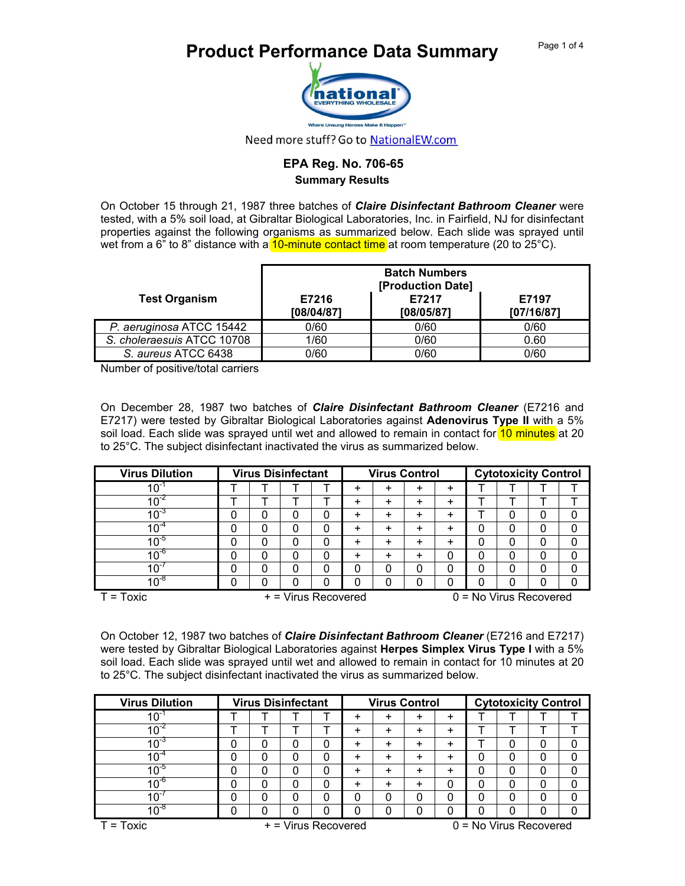## **Product Performance Data Summary** Page 1 of 4



Need more stuff? Go to NationalEW.com

## **EPA Reg. No. 706-65 Summary Results**

On October 15 through 21, 1987 three batches of *Claire Disinfectant Bathroom Cleaner* were tested, with a 5% soil load, at Gibraltar Biological Laboratories, Inc. in Fairfield, NJ for disinfectant properties against the following organisms as summarized below. Each slide was sprayed until wet from a 6<sup>"</sup> to 8" distance with a 10-minute contact time at room temperature (20 to 25°C).

|                            |                     | <b>Batch Numbers</b><br>[Production Date] |                     |
|----------------------------|---------------------|-------------------------------------------|---------------------|
| <b>Test Organism</b>       | E7216<br>[08/04/87] | E7217<br>[08/05/87]                       | E7197<br>[07/16/87] |
| P. aeruginosa ATCC 15442   | 0/60                | 0/60                                      | 0/60                |
| S. choleraesuis ATCC 10708 | 1/60                | 0/60                                      | 0.60                |
| S. aureus ATCC 6438        | 0/60                | 0/60                                      | 0/60                |

Number of positive/total carriers

On December 28, 1987 two batches of *Claire Disinfectant Bathroom Cleaner* (E7216 and E7217) were tested by Gibraltar Biological Laboratories against **Adenovirus Type II** with a 5% soil load. Each slide was sprayed until wet and allowed to remain in contact for 10 minutes at 20 to 25°C. The subject disinfectant inactivated the virus as summarized below.

| <b>Virus Dilution</b> |   | <b>Virus Disinfectant</b> |          |   |                                                 | <b>Virus Control</b> |   |           |          | <b>Cytotoxicity Control</b> |   |          |  |
|-----------------------|---|---------------------------|----------|---|-------------------------------------------------|----------------------|---|-----------|----------|-----------------------------|---|----------|--|
| $10^{-7}$             |   |                           |          |   | ÷                                               | ٠                    | + | ÷         |          |                             |   |          |  |
|                       |   |                           |          |   | ٠                                               | $\ddot{}$            | + | +         |          |                             |   |          |  |
| $10^{-3}$             | 0 | 0                         | 0        | 0 | ÷                                               | +                    | + | $\ddot{}$ |          |                             | 0 | 0        |  |
| $10^{-4}$             |   | 0                         | 0        |   | ÷                                               | ٠                    | + | ÷         | 0        |                             | 0 |          |  |
| $10^{-5}$             |   | 0                         | 0        |   | ÷                                               | ٠                    |   | +         | 0        |                             | 0 |          |  |
| $10^{-6}$             | 0 | 0                         | 0        | ი | $\ddot{}$                                       | $\ddot{}$            | + | 0         | 0        |                             | 0 | $\Omega$ |  |
| $10^{-}$              |   | 0                         | $\Omega$ | 0 | 0                                               | 0                    | ი | 0         | $\Omega$ | 0                           | 0 |          |  |
| $10^{-8}$             |   |                           | $\Omega$ |   | 0                                               | 0                    |   | 0         | 0        |                             | 0 |          |  |
| $T = Toxic$           |   |                           |          |   | + = Virus Recovered<br>$0 = No$ Virus Recovered |                      |   |           |          |                             |   |          |  |

On October 12, 1987 two batches of *Claire Disinfectant Bathroom Cleaner* (E7216 and E7217) were tested by Gibraltar Biological Laboratories against **Herpes Simplex Virus Type I** with a 5% soil load. Each slide was sprayed until wet and allowed to remain in contact for 10 minutes at 20 to 25°C. The subject disinfectant inactivated the virus as summarized below.

| <b>Virus Dilution</b> |   | <b>Virus Disinfectant</b> | <b>Virus Control</b> |   |   |   | <b>Cytotoxicity Control</b> |  |   |  |
|-----------------------|---|---------------------------|----------------------|---|---|---|-----------------------------|--|---|--|
| $10^{-}$              |   |                           | ٠                    | + | + | ÷ |                             |  |   |  |
|                       |   |                           | +                    | + | + | ÷ |                             |  |   |  |
|                       |   | 0                         | +                    | + | + | ÷ |                             |  | 0 |  |
|                       | 0 | 0                         | +                    | + |   | ÷ |                             |  | 0 |  |
|                       |   | 0                         | +                    | + |   | ÷ |                             |  | 0 |  |
| $10^{-6}$             |   | 0                         | +                    | + |   | 0 |                             |  | 0 |  |
|                       |   | 0                         |                      | 0 |   | 0 | 0                           |  | 0 |  |
| 10 $\degree$          |   | 0                         |                      |   |   |   |                             |  |   |  |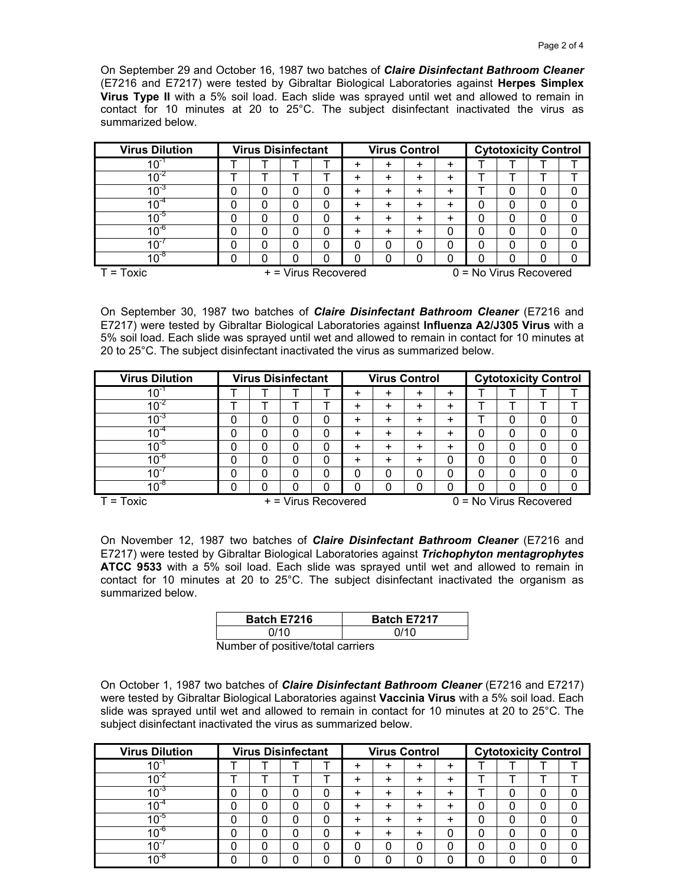On September 29 and October 16, 1987 two batches of *Claire Disinfectant Bathroom Cleaner* (E7216 and E7217) were tested by Gibraltar Biological Laboratories against **Herpes Simplex Virus Type II** with a 5% soil load. Each slide was sprayed until wet and allowed to remain in contact for 10 minutes at 20 to 25°C. The subject disinfectant inactivated the virus as summarized below.

| <b>Virus Dilution</b> |   |          | <b>Virus Disinfectant</b> |   | <b>Virus Control</b> |   |   |           | <b>Cytotoxicity Control</b> |   |   |   |
|-----------------------|---|----------|---------------------------|---|----------------------|---|---|-----------|-----------------------------|---|---|---|
| $10^{-1}$             |   |          |                           |   | +                    | + | + | $\ddot{}$ |                             |   |   |   |
| $10^{-2}$             |   |          |                           |   | +                    | + | ٠ | ÷         |                             |   |   |   |
| $10^{-3}$             | 0 |          | 0                         |   | +                    | + | + | +         |                             |   | 0 | 0 |
| $10^{-4}$             | 0 |          | 0                         |   | ÷                    | + |   | +         |                             | 0 | 0 | 0 |
| $10^{-5}$             | 0 | $\Omega$ | 0                         | 0 | ÷                    | + | + | $\ddot{}$ | 0                           | 0 | 0 | 0 |
| $10^{-6}$             | 0 | 0        | 0                         | 0 | +                    | ٠ | + | 0         | 0                           |   | 0 | 0 |
| $10^{-7}$             | 0 |          | 0                         | 0 | 0                    | 0 |   | 0         | 0                           |   | 0 | 0 |
| $10^{-8}$             | 0 |          | 0                         |   | 0                    | 0 |   | 0         | 0                           |   | 0 | 0 |
| $T = Toxic$           |   |          | + = Virus Recovered       |   |                      |   |   |           | $0 = No$ Virus Recovered    |   |   |   |

On September 30, 1987 two batches of *Claire Disinfectant Bathroom Cleaner* (E7216 and E7217) were tested by Gibraltar Biological Laboratories against **Influenza A2/J305 Virus** with a 5% soil load. Each slide was sprayed until wet and allowed to remain in contact for 10 minutes at 20 to 25°C. The subject disinfectant inactivated the virus as summarized below.

| <b>Virus Dilution</b> |   |   | <b>Virus Disinfectant</b> |   | <b>Virus Control</b> |   |   |   | <b>Cytotoxicity Control</b> |   |   |   |
|-----------------------|---|---|---------------------------|---|----------------------|---|---|---|-----------------------------|---|---|---|
| $10^{-}$              |   |   |                           |   | ٠                    | + | + | ٠ |                             |   |   |   |
| $10^{-2}$             |   |   |                           |   | ٠                    | + | + | ÷ |                             |   |   |   |
| $10^{-3}$             | 0 | 0 | 0                         | 0 | ٠                    | + |   | + |                             |   | 0 |   |
| $10^{-4}$             | 0 | 0 | 0                         | 0 | +                    | + |   | + | 0                           |   | 0 | 0 |
| $10^{-5}$             | 0 | 0 | 0                         | 0 | +                    | + |   | + | 0                           | 0 | 0 | 0 |
| $10^{-6}$             | 0 | 0 | 0                         | 0 | +                    | + | + | 0 | 0                           | 0 | 0 | 0 |
| 10                    | 0 | 0 | 0                         | 0 | 0                    | 0 | 0 | 0 | 0                           |   | 0 | 0 |
| $10^{-8}$             | 0 | 0 | 0                         |   | 0                    | 0 |   | 0 | 0                           |   | 0 |   |

T = Toxic + = Virus Recovered 0 = No Virus Recovered

On November 12, 1987 two batches of *Claire Disinfectant Bathroom Cleaner* (E7216 and E7217) were tested by Gibraltar Biological Laboratories against *Trichophyton mentagrophytes* **ATCC 9533** with a 5% soil load. Each slide was sprayed until wet and allowed to remain in contact for 10 minutes at 20 to 25°C. The subject disinfectant inactivated the organism as summarized below.

| Batch E7216 |     | <b>Batch E7217</b> |
|-------------|-----|--------------------|
| 0/10        |     | 0/10               |
| . .         | . . |                    |

Number of positive/total carriers

On October 1, 1987 two batches of *Claire Disinfectant Bathroom Cleaner* (E7216 and E7217) were tested by Gibraltar Biological Laboratories against **Vaccinia Virus** with a 5% soil load. Each slide was sprayed until wet and allowed to remain in contact for 10 minutes at 20 to 25°C. The subject disinfectant inactivated the virus as summarized below.

| <b>Virus Dilution</b> |    | <b>Virus Disinfectant</b> | <b>Virus Control</b> |   |   |       | <b>Cytotoxicity Control</b> |  |  |  |
|-----------------------|----|---------------------------|----------------------|---|---|-------|-----------------------------|--|--|--|
| $10^{-}$              |    |                           | +                    | + | + | $\pm$ |                             |  |  |  |
|                       |    |                           | +                    | + |   | $\pm$ |                             |  |  |  |
|                       | υ. | 0                         | ÷                    | + |   | $\pm$ |                             |  |  |  |
|                       | u  | 0                         | ÷                    | + |   | $\pm$ | 0                           |  |  |  |
|                       |    | 0                         | ÷                    | + |   | ÷     | 0                           |  |  |  |
| $10^{\circ}$          |    | 0                         | ÷                    | + |   | 0     | 0                           |  |  |  |
|                       |    | 0                         |                      | 0 |   |       | 0                           |  |  |  |
| $10^{-8}$             |    | ი                         |                      | 0 |   |       |                             |  |  |  |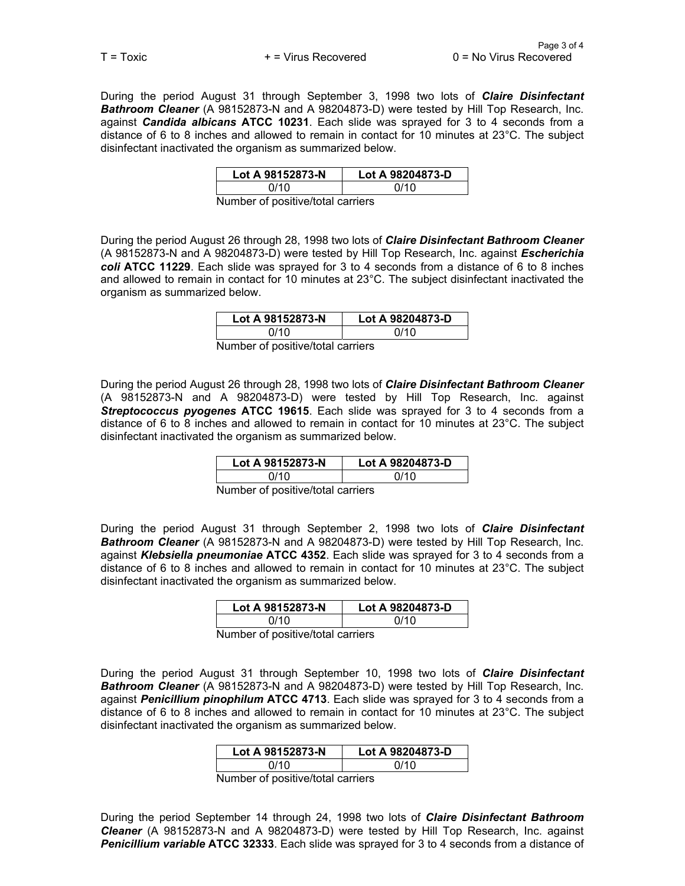During the period August 31 through September 3, 1998 two lots of *Claire Disinfectant Bathroom Cleaner* (A 98152873-N and A 98204873-D) were tested by Hill Top Research, Inc. against *Candida albicans* **ATCC 10231**. Each slide was sprayed for 3 to 4 seconds from a distance of 6 to 8 inches and allowed to remain in contact for 10 minutes at 23°C. The subject disinfectant inactivated the organism as summarized below.

| Lot A 98152873-N                  | Lot A 98204873-D |
|-----------------------------------|------------------|
| N/10                              | 0/10             |
| Number of pooitive total corriere |                  |

Number of positive/total carriers

During the period August 26 through 28, 1998 two lots of *Claire Disinfectant Bathroom Cleaner* (A 98152873-N and A 98204873-D) were tested by Hill Top Research, Inc. against *Escherichia coli* **ATCC 11229**. Each slide was sprayed for 3 to 4 seconds from a distance of 6 to 8 inches and allowed to remain in contact for 10 minutes at 23°C. The subject disinfectant inactivated the organism as summarized below.

| Lot A 98152873-N                  | Lot A 98204873-D |
|-----------------------------------|------------------|
| 0/10                              | N/10             |
| dumhar of noeitiva/total carriare |                  |

Number of positive/total carriers

During the period August 26 through 28, 1998 two lots of *Claire Disinfectant Bathroom Cleaner* (A 98152873-N and A 98204873-D) were tested by Hill Top Research, Inc. against *Streptococcus pyogenes* **ATCC 19615**. Each slide was sprayed for 3 to 4 seconds from a distance of 6 to 8 inches and allowed to remain in contact for 10 minutes at 23°C. The subject disinfectant inactivated the organism as summarized below.

| Lot A 98152873-N | Lot A 98204873-D |  |  |  |  |  |  |
|------------------|------------------|--|--|--|--|--|--|
| N/10             | 0/10             |  |  |  |  |  |  |
|                  |                  |  |  |  |  |  |  |

Number of positive/total carriers

During the period August 31 through September 2, 1998 two lots of *Claire Disinfectant Bathroom Cleaner* (A 98152873-N and A 98204873-D) were tested by Hill Top Research, Inc. against *Klebsiella pneumoniae* **ATCC 4352**. Each slide was sprayed for 3 to 4 seconds from a distance of 6 to 8 inches and allowed to remain in contact for 10 minutes at 23°C. The subject disinfectant inactivated the organism as summarized below.

| Lot A 98152873-N | Lot A 98204873-D |  |  |  |  |  |  |
|------------------|------------------|--|--|--|--|--|--|
| 0/10             | N/10             |  |  |  |  |  |  |
|                  |                  |  |  |  |  |  |  |

Number of positive/total carriers

During the period August 31 through September 10, 1998 two lots of *Claire Disinfectant Bathroom Cleaner* (A 98152873-N and A 98204873-D) were tested by Hill Top Research, Inc. against *Penicillium pinophilum* **ATCC 4713**. Each slide was sprayed for 3 to 4 seconds from a distance of 6 to 8 inches and allowed to remain in contact for 10 minutes at 23°C. The subject disinfectant inactivated the organism as summarized below.

|  | Lot A 98152873-N |      |  | Lot A 98204873-D |  |  |  |  |  |
|--|------------------|------|--|------------------|--|--|--|--|--|
|  |                  | N/10 |  | 0/10             |  |  |  |  |  |
|  |                  |      |  |                  |  |  |  |  |  |

Number of positive/total carriers

During the period September 14 through 24, 1998 two lots of *Claire Disinfectant Bathroom Cleaner* (A 98152873-N and A 98204873-D) were tested by Hill Top Research, Inc. against *Penicillium variable* **ATCC 32333**. Each slide was sprayed for 3 to 4 seconds from a distance of